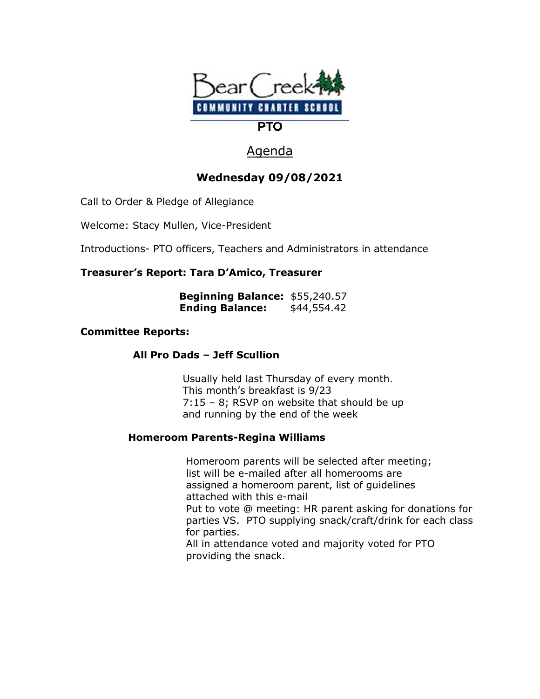

# Agenda

## **Wednesday 09/08/2021**

Call to Order & Pledge of Allegiance

Welcome: Stacy Mullen, Vice-President

Introductions- PTO officers, Teachers and Administrators in attendance

## **Treasurer's Report: Tara D'Amico, Treasurer**

| <b>Beginning Balance: \$55,240.57</b> |             |
|---------------------------------------|-------------|
| <b>Ending Balance:</b>                | \$44,554.42 |

### **Committee Reports:**

 **All Pro Dads – Jeff Scullion**

Usually held last Thursday of every month. This month's breakfast is 9/23 7:15 – 8; RSVP on website that should be up and running by the end of the week

## **Homeroom Parents-Regina Williams**

 Homeroom parents will be selected after meeting; list will be e-mailed after all homerooms are assigned a homeroom parent, list of guidelines attached with this e-mail Put to vote @ meeting: HR parent asking for donations for parties VS. PTO supplying snack/craft/drink for each class for parties. All in attendance voted and majority voted for PTO

providing the snack.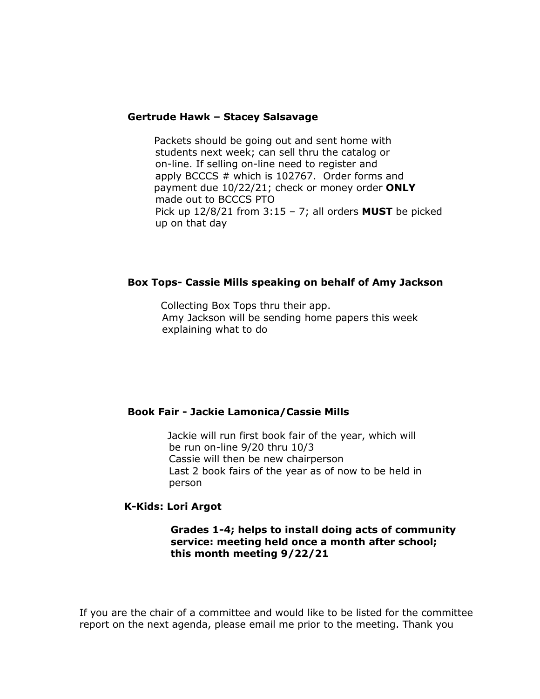#### **Gertrude Hawk – Stacey Salsavage**

Packets should be going out and sent home with students next week; can sell thru the catalog or on-line. If selling on-line need to register and apply BCCCS # which is 102767. Order forms and payment due 10/22/21; check or money order **ONLY** made out to BCCCS PTO Pick up 12/8/21 from 3:15 – 7; all orders **MUST** be picked up on that day

#### **Box Tops- Cassie Mills speaking on behalf of Amy Jackson**

Collecting Box Tops thru their app. Amy Jackson will be sending home papers this week explaining what to do

#### **Book Fair - Jackie Lamonica/Cassie Mills**

Jackie will run first book fair of the year, which will be run on-line 9/20 thru 10/3 Cassie will then be new chairperson Last 2 book fairs of the year as of now to be held in person

#### **K-Kids: Lori Argot**

#### **Grades 1-4; helps to install doing acts of community service: meeting held once a month after school; this month meeting 9/22/21**

If you are the chair of a committee and would like to be listed for the committee report on the next agenda, please email me prior to the meeting. Thank you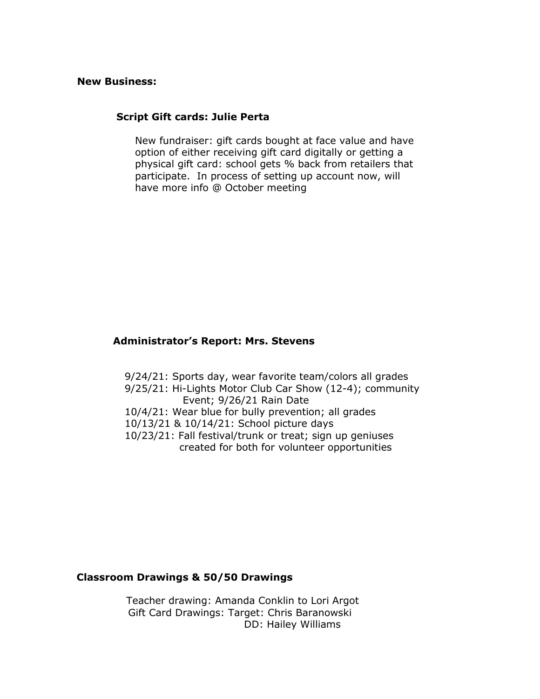#### **New Business:**

#### **Script Gift cards: Julie Perta**

 New fundraiser: gift cards bought at face value and have option of either receiving gift card digitally or getting a physical gift card: school gets % back from retailers that participate. In process of setting up account now, will have more info @ October meeting

#### **Administrator's Report: Mrs. Stevens**

 9/24/21: Sports day, wear favorite team/colors all grades 9/25/21: Hi-Lights Motor Club Car Show (12-4); community Event; 9/26/21 Rain Date 10/4/21: Wear blue for bully prevention; all grades 10/13/21 & 10/14/21: School picture days 10/23/21: Fall festival/trunk or treat; sign up geniuses created for both for volunteer opportunities

#### **Classroom Drawings & 50/50 Drawings**

Teacher drawing: Amanda Conklin to Lori Argot Gift Card Drawings: Target: Chris Baranowski DD: Hailey Williams